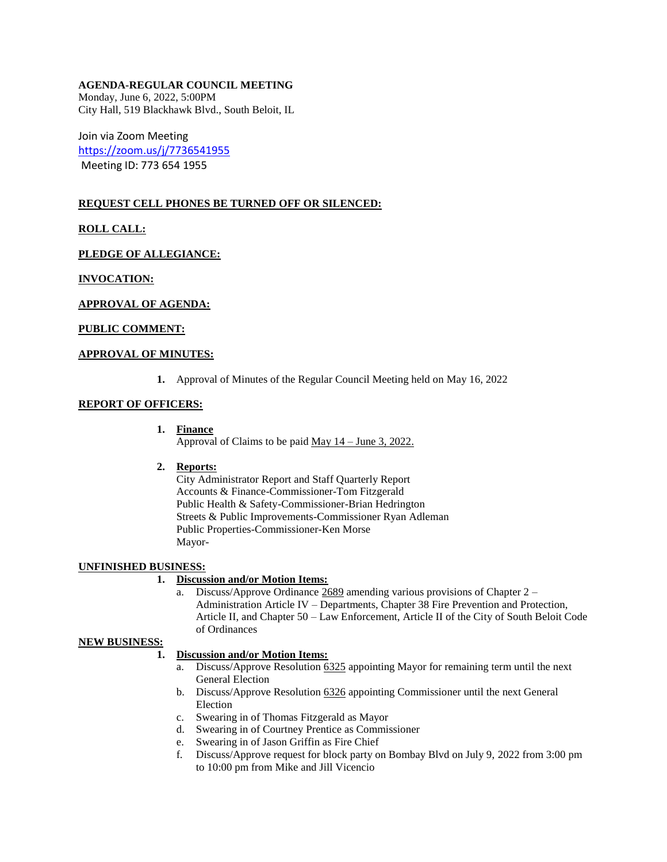## **AGENDA-REGULAR COUNCIL MEETING**

Monday, June 6, 2022, 5:00PM City Hall, 519 Blackhawk Blvd., South Beloit, IL

Join via Zoom Meeting <https://zoom.us/j/7736541955> Meeting ID: 773 654 1955

# **REQUEST CELL PHONES BE TURNED OFF OR SILENCED:**

**ROLL CALL:**

**PLEDGE OF ALLEGIANCE:** 

**INVOCATION:**

### **APPROVAL OF AGENDA:**

### **PUBLIC COMMENT:**

## **APPROVAL OF MINUTES:**

**1.** Approval of Minutes of the Regular Council Meeting held on May 16, 2022

### **REPORT OF OFFICERS:**

- **1. Finance** Approval of Claims to be paid May 14 – June 3, 2022.
- **2. Reports:**

City Administrator Report and Staff Quarterly Report Accounts & Finance-Commissioner-Tom Fitzgerald Public Health & Safety-Commissioner-Brian Hedrington Streets & Public Improvements-Commissioner Ryan Adleman Public Properties-Commissioner-Ken Morse Mayor-

## **UNFINISHED BUSINESS:**

## **1. Discussion and/or Motion Items:**

a. Discuss/Approve Ordinance 2689 amending various provisions of Chapter 2 – Administration Article IV – Departments, Chapter 38 Fire Prevention and Protection, Article II, and Chapter 50 – Law Enforcement, Article II of the City of South Beloit Code of Ordinances

#### **NEW BUSINESS:**

## **1. Discussion and/or Motion Items:**

- a. Discuss/Approve Resolution 6325 appointing Mayor for remaining term until the next General Election
- b. Discuss/Approve Resolution 6326 appointing Commissioner until the next General Election
- c. Swearing in of Thomas Fitzgerald as Mayor
- d. Swearing in of Courtney Prentice as Commissioner
- e. Swearing in of Jason Griffin as Fire Chief
- f. Discuss/Approve request for block party on Bombay Blvd on July 9, 2022 from 3:00 pm to 10:00 pm from Mike and Jill Vicencio